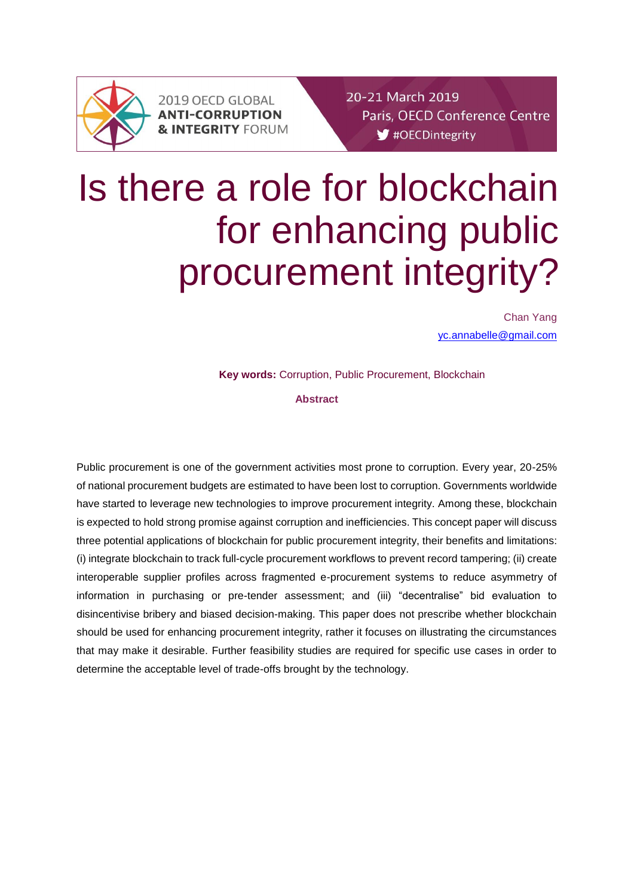

2019 OECD GLOBAL **ANTI-CORRUPTION & INTEGRITY FORUM**  20-21 March 2019 Paris, OECD Conference Centre #OECDintegrity

# Is there a role for blockchain for enhancing public procurement integrity?

Chan Yang [yc.annabelle@gmail.com](mailto:yc.annabelle@gmail.com)

**Key words:** Corruption, Public Procurement, Blockchain

### **Abstract**

Public procurement is one of the government activities most prone to corruption. Every year, 20-25% of national procurement budgets are estimated to have been lost to corruption. Governments worldwide have started to leverage new technologies to improve procurement integrity. Among these, blockchain is expected to hold strong promise against corruption and inefficiencies. This concept paper will discuss three potential applications of blockchain for public procurement integrity, their benefits and limitations: (i) integrate blockchain to track full-cycle procurement workflows to prevent record tampering; (ii) create interoperable supplier profiles across fragmented e-procurement systems to reduce asymmetry of information in purchasing or pre-tender assessment; and (iii) "decentralise" bid evaluation to disincentivise bribery and biased decision-making. This paper does not prescribe whether blockchain should be used for enhancing procurement integrity, rather it focuses on illustrating the circumstances that may make it desirable. Further feasibility studies are required for specific use cases in order to determine the acceptable level of trade-offs brought by the technology.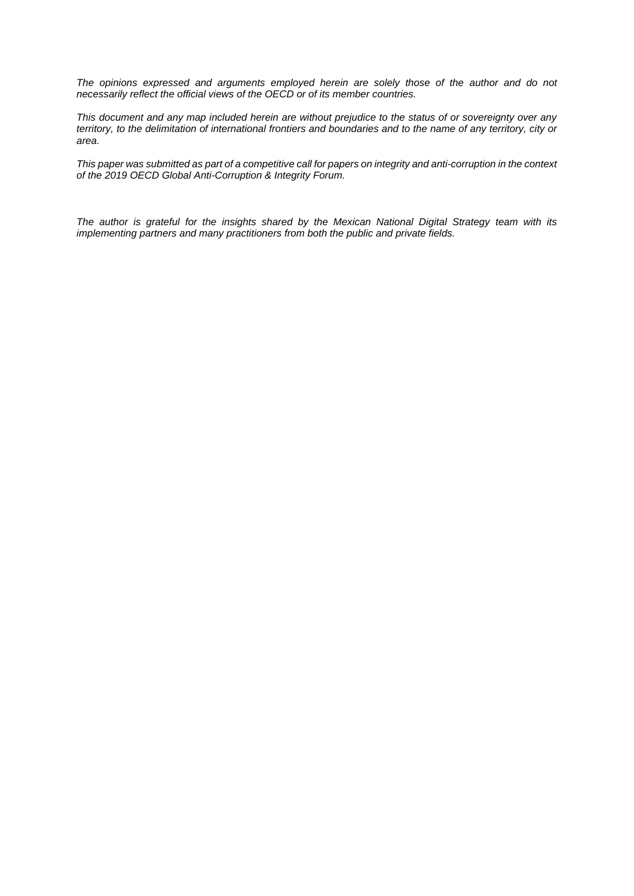*The opinions expressed and arguments employed herein are solely those of the author and do not necessarily reflect the official views of the OECD or of its member countries.*

*This document and any map included herein are without prejudice to the status of or sovereignty over any territory, to the delimitation of international frontiers and boundaries and to the name of any territory, city or area.*

*This paper was submitted as part of a competitive call for papers on integrity and anti-corruption in the context of the 2019 OECD Global Anti-Corruption & Integrity Forum.*

*The author is grateful for the insights shared by the Mexican National Digital Strategy team with its implementing partners and many practitioners from both the public and private fields.*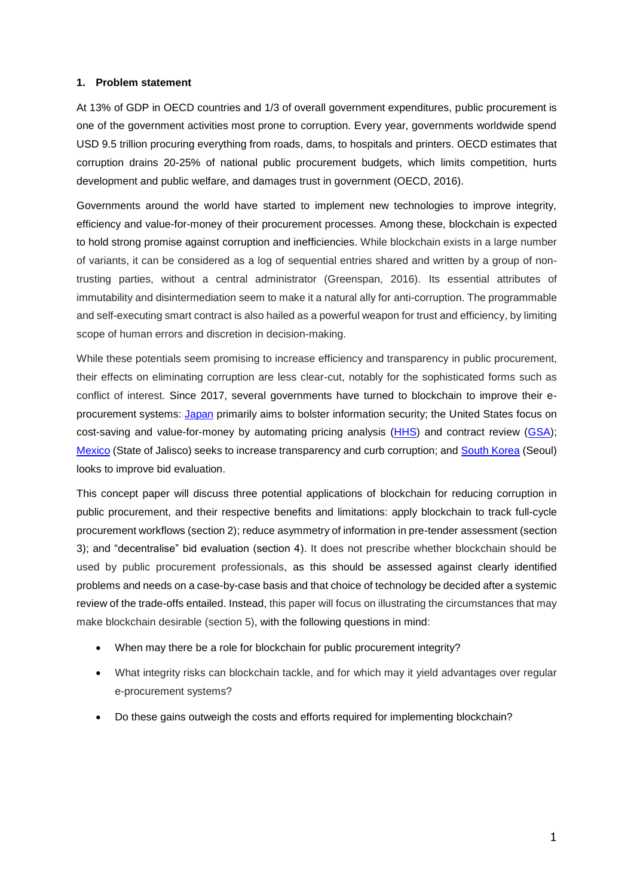#### **1. Problem statement**

At 13% of GDP in OECD countries and 1/3 of overall government expenditures, public procurement is one of the government activities most prone to corruption. Every year, governments worldwide spend USD 9.5 trillion procuring everything from roads, dams, to hospitals and printers. OECD estimates that corruption drains 20-25% of national public procurement budgets, which limits competition, hurts development and public welfare, and damages trust in government (OECD, 2016).

Governments around the world have started to implement new technologies to improve integrity, efficiency and value-for-money of their procurement processes. Among these, blockchain is expected to hold strong promise against corruption and inefficiencies. While blockchain exists in a large number of variants, it can be considered as a log of sequential entries shared and written by a group of nontrusting parties, without a central administrator (Greenspan, 2016). Its essential attributes of immutability and disintermediation seem to make it a natural ally for anti-corruption. The programmable and self-executing smart contract is also hailed as a powerful weapon for trust and efficiency, by limiting scope of human errors and discretion in decision-making.

While these potentials seem promising to increase efficiency and transparency in public procurement, their effects on eliminating corruption are less clear-cut, notably for the sophisticated forms such as conflict of interest. Since 2017, several governments have turned to blockchain to improve their e-procurement systems: [Japan](https://asia.nikkei.com/Politics-Economy/Policy-Politics/Japan-looks-to-blockchains-for-more-secure-e-government-systems) primarily aims to bolster information security; the United States focus on cost-saving and value-for-money by automating pricing analysis [\(HHS\)](https://govmatters.tv/hhs-obtains-first-blockchain-ato-in-federal-government/) and contract review [\(GSA\)](https://fcw.com/blogs/lectern/2017/10/comment-kelman-gsa-blockchain.aspx); [Mexico](https://www.eleconomista.com.mx/tecnologia/Gobierno-federal-realizara-el-primer-caso-real-de-licitacion-con-blockchain-en-agosto-20180727-0035.html) (State of Jalisco) seeks to increase transparency and curb corruption; and [South Korea](http://www.newsis.com/view/?id=NISX20190116_0000531364&cID=10801&pID=14000) (Seoul) looks to improve bid evaluation.

This concept paper will discuss three potential applications of blockchain for reducing corruption in public procurement, and their respective benefits and limitations: apply blockchain to track full-cycle procurement workflows (section 2); reduce asymmetry of information in pre-tender assessment (section 3); and "decentralise" bid evaluation (section 4). It does not prescribe whether blockchain should be used by public procurement professionals, as this should be assessed against clearly identified problems and needs on a case-by-case basis and that choice of technology be decided after a systemic review of the trade-offs entailed. Instead, this paper will focus on illustrating the circumstances that may make blockchain desirable (section 5), with the following questions in mind:

- When may there be a role for blockchain for public procurement integrity?
- What integrity risks can blockchain tackle, and for which may it yield advantages over regular e-procurement systems?
- Do these gains outweigh the costs and efforts required for implementing blockchain?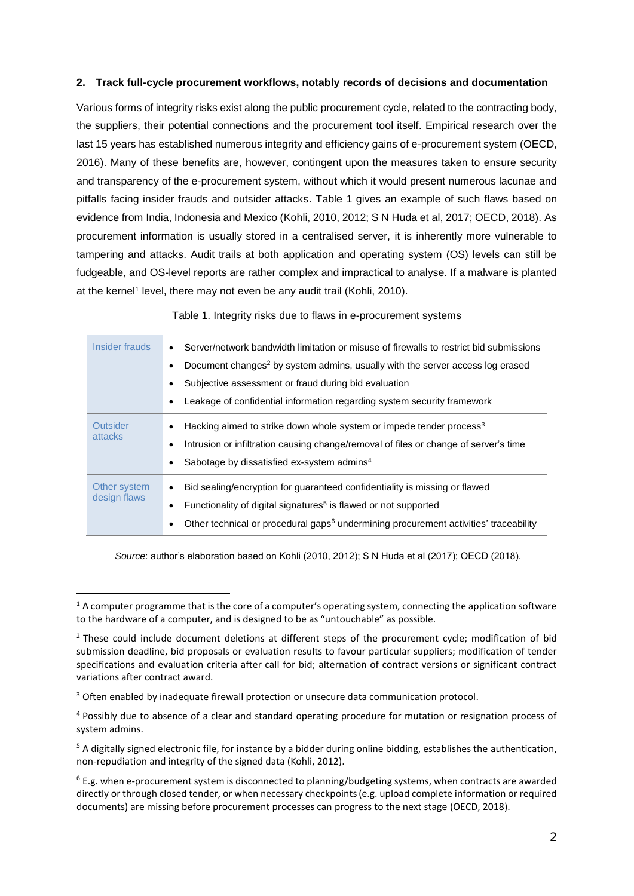# **2. Track full-cycle procurement workflows, notably records of decisions and documentation**

Various forms of integrity risks exist along the public procurement cycle, related to the contracting body, the suppliers, their potential connections and the procurement tool itself. Empirical research over the last 15 years has established numerous integrity and efficiency gains of e-procurement system (OECD, 2016). Many of these benefits are, however, contingent upon the measures taken to ensure security and transparency of the e-procurement system, without which it would present numerous lacunae and pitfalls facing insider frauds and outsider attacks. Table 1 gives an example of such flaws based on evidence from India, Indonesia and Mexico (Kohli, 2010, 2012; S N Huda et al, 2017; OECD, 2018). As procurement information is usually stored in a centralised server, it is inherently more vulnerable to tampering and attacks. Audit trails at both application and operating system (OS) levels can still be fudgeable, and OS-level reports are rather complex and impractical to analyse. If a malware is planted at the kernel<sup>1</sup> level, there may not even be any audit trail (Kohli, 2010).

Table 1. Integrity risks due to flaws in e-procurement systems

| Insider frauds  | Server/network bandwidth limitation or misuse of firewalls to restrict bid submissions<br>Document changes <sup>2</sup> by system admins, usually with the server access log erased |  |  |  |
|-----------------|-------------------------------------------------------------------------------------------------------------------------------------------------------------------------------------|--|--|--|
|                 |                                                                                                                                                                                     |  |  |  |
|                 | Subjective assessment or fraud during bid evaluation                                                                                                                                |  |  |  |
|                 | Leakage of confidential information regarding system security framework                                                                                                             |  |  |  |
| <b>Outsider</b> | Hacking aimed to strike down whole system or impede tender process <sup>3</sup>                                                                                                     |  |  |  |
| attacks         | Intrusion or infiltration causing change/removal of files or change of server's time                                                                                                |  |  |  |
|                 | Sabotage by dissatisfied ex-system admins <sup>4</sup>                                                                                                                              |  |  |  |
| Other system    | Bid sealing/encryption for quaranteed confidentiality is missing or flawed                                                                                                          |  |  |  |
| design flaws    | Functionality of digital signatures <sup>5</sup> is flawed or not supported                                                                                                         |  |  |  |
|                 | Other technical or procedural gaps <sup>6</sup> undermining procurement activities' traceability                                                                                    |  |  |  |

*Source*: author's elaboration based on Kohli (2010, 2012); S N Huda et al (2017); OECD (2018).

 $1/2$  A computer programme that is the core of a computer's operating system, connecting the application software to the hardware of a computer, and is designed to be as "untouchable" as possible.

<sup>&</sup>lt;sup>2</sup> These could include document deletions at different steps of the procurement cycle; modification of bid submission deadline, bid proposals or evaluation results to favour particular suppliers; modification of tender specifications and evaluation criteria after call for bid; alternation of contract versions or significant contract variations after contract award.

<sup>&</sup>lt;sup>3</sup> Often enabled by inadequate firewall protection or unsecure data communication protocol.

<sup>&</sup>lt;sup>4</sup> Possibly due to absence of a clear and standard operating procedure for mutation or resignation process of system admins.

 $5$  A digitally signed electronic file, for instance by a bidder during online bidding, establishes the authentication, non-repudiation and integrity of the signed data (Kohli, 2012).

<sup>6</sup> E.g. when e-procurement system is disconnected to planning/budgeting systems, when contracts are awarded directly or through closed tender, or when necessary checkpoints(e.g. upload complete information or required documents) are missing before procurement processes can progress to the next stage (OECD, 2018).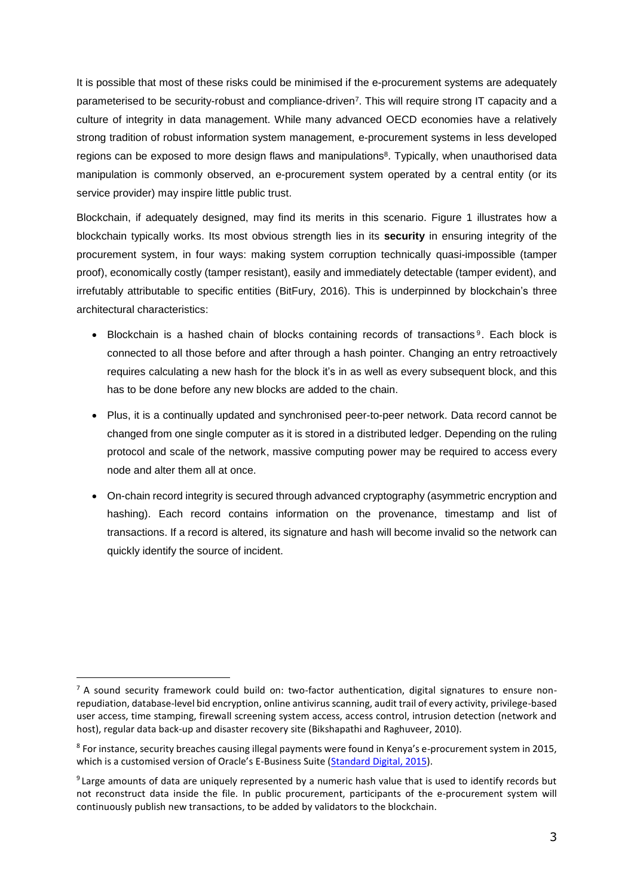It is possible that most of these risks could be minimised if the e-procurement systems are adequately parameterised to be security-robust and compliance-driven<sup>7</sup> . This will require strong IT capacity and a culture of integrity in data management. While many advanced OECD economies have a relatively strong tradition of robust information system management, e-procurement systems in less developed regions can be exposed to more design flaws and manipulations<sup>8</sup>. Typically, when unauthorised data manipulation is commonly observed, an e-procurement system operated by a central entity (or its service provider) may inspire little public trust.

Blockchain, if adequately designed, may find its merits in this scenario. Figure 1 illustrates how a blockchain typically works. Its most obvious strength lies in its **security** in ensuring integrity of the procurement system, in four ways: making system corruption technically quasi-impossible (tamper proof), economically costly (tamper resistant), easily and immediately detectable (tamper evident), and irrefutably attributable to specific entities (BitFury, 2016). This is underpinned by blockchain's three architectural characteristics:

- Blockchain is a hashed chain of blocks containing records of transactions<sup>9</sup>. Each block is connected to all those before and after through a hash pointer. Changing an entry retroactively requires calculating a new hash for the block it's in as well as every subsequent block, and this has to be done before any new blocks are added to the chain.
- Plus, it is a continually updated and synchronised peer-to-peer network. Data record cannot be changed from one single computer as it is stored in a distributed ledger. Depending on the ruling protocol and scale of the network, massive computing power may be required to access every node and alter them all at once.
- On-chain record integrity is secured through advanced cryptography (asymmetric encryption and hashing). Each record contains information on the provenance, timestamp and list of transactions. If a record is altered, its signature and hash will become invalid so the network can quickly identify the source of incident.

 $\overline{a}$ 

 $<sup>7</sup>$  A sound security framework could build on: two-factor authentication, digital signatures to ensure non-</sup> repudiation, database-level bid encryption, online antivirus scanning, audit trail of every activity, privilege-based user access, time stamping, firewall screening system access, access control, intrusion detection (network and host), regular data back-up and disaster recovery site (Bikshapathi and Raghuveer, 2010).

<sup>&</sup>lt;sup>8</sup> For instance, security breaches causing illegal payments were found in Kenya's e-procurement system in 2015, which is a customised version of Oracle's E-Business Suite [\(Standard Digital, 2015\)](https://www.standardmedia.co.ke/article/2000167096/breach-of-much-touted-ifmis-system-must-serve-as-wake-up-call).

<sup>&</sup>lt;sup>9</sup> Large amounts of data are uniquely represented by a numeric hash value that is used to identify records but not reconstruct data inside the file. In public procurement, participants of the e-procurement system will continuously publish new transactions, to be added by validators to the blockchain.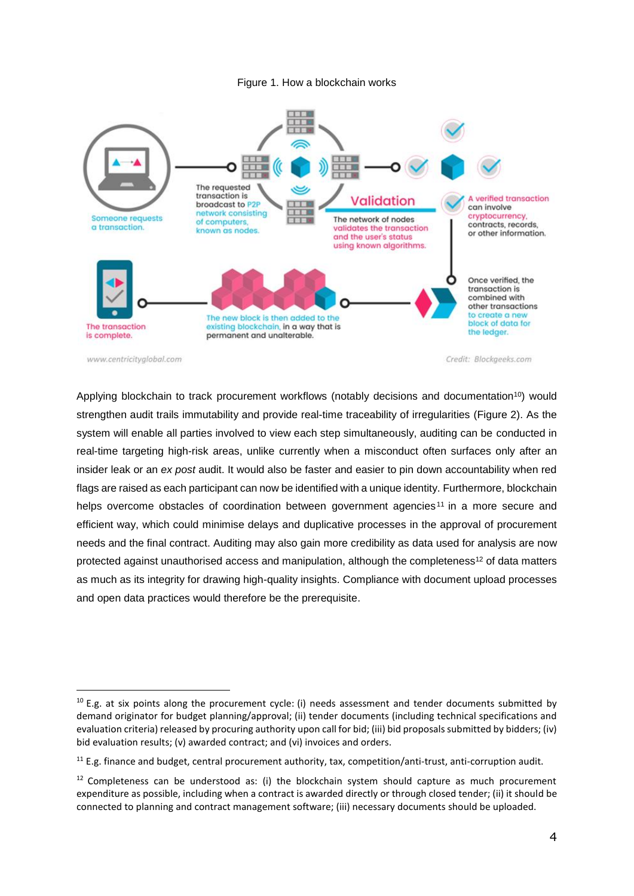#### Figure 1. How a blockchain works



www.centricityglobal.com

j

Credit: Blockgeeks.com

Applying blockchain to track procurement workflows (notably decisions and documentation<sup>10</sup>) would strengthen audit trails immutability and provide real-time traceability of irregularities (Figure 2). As the system will enable all parties involved to view each step simultaneously, auditing can be conducted in real-time targeting high-risk areas, unlike currently when a misconduct often surfaces only after an insider leak or an *ex post* audit. It would also be faster and easier to pin down accountability when red flags are raised as each participant can now be identified with a unique identity. Furthermore, blockchain helps overcome obstacles of coordination between government agencies<sup>11</sup> in a more secure and efficient way, which could minimise delays and duplicative processes in the approval of procurement needs and the final contract. Auditing may also gain more credibility as data used for analysis are now protected against unauthorised access and manipulation, although the completeness<sup>12</sup> of data matters as much as its integrity for drawing high-quality insights. Compliance with document upload processes and open data practices would therefore be the prerequisite.

 $10$  E.g. at six points along the procurement cycle: (i) needs assessment and tender documents submitted by demand originator for budget planning/approval; (ii) tender documents (including technical specifications and evaluation criteria) released by procuring authority upon call for bid; (iii) bid proposals submitted by bidders; (iv) bid evaluation results; (v) awarded contract; and (vi) invoices and orders.

 $11$  E.g. finance and budget, central procurement authority, tax, competition/anti-trust, anti-corruption audit.

 $12$  Completeness can be understood as: (i) the blockchain system should capture as much procurement expenditure as possible, including when a contract is awarded directly or through closed tender; (ii) it should be connected to planning and contract management software; (iii) necessary documents should be uploaded.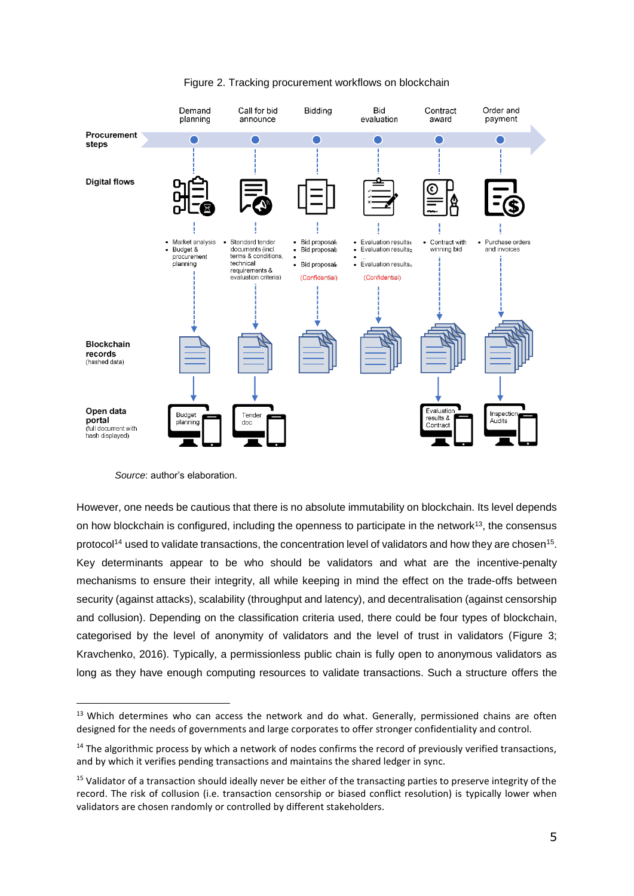

# Figure 2. Tracking procurement workflows on blockchain

 $\overline{a}$ 

However, one needs be cautious that there is no absolute immutability on blockchain. Its level depends on how blockchain is configured, including the openness to participate in the network<sup>13</sup>, the consensus protocol<sup>14</sup> used to validate transactions, the concentration level of validators and how they are chosen<sup>15</sup>. Key determinants appear to be who should be validators and what are the incentive-penalty mechanisms to ensure their integrity, all while keeping in mind the effect on the trade-offs between security (against attacks), scalability (throughput and latency), and decentralisation (against censorship and collusion). Depending on the classification criteria used, there could be four types of blockchain, categorised by the level of anonymity of validators and the level of trust in validators (Figure 3; Kravchenko, 2016). Typically, a permissionless public chain is fully open to anonymous validators as long as they have enough computing resources to validate transactions. Such a structure offers the

*Source*: author's elaboration.

<sup>&</sup>lt;sup>13</sup> Which determines who can access the network and do what. Generally, permissioned chains are often designed for the needs of governments and large corporates to offer stronger confidentiality and control.

 $14$  The algorithmic process by which a network of nodes confirms the record of previously verified transactions, and by which it verifies pending transactions and maintains the shared ledger in sync.

<sup>&</sup>lt;sup>15</sup> Validator of a transaction should ideally never be either of the transacting parties to preserve integrity of the record. The risk of collusion (i.e. transaction censorship or biased conflict resolution) is typically lower when validators are chosen randomly or controlled by different stakeholders.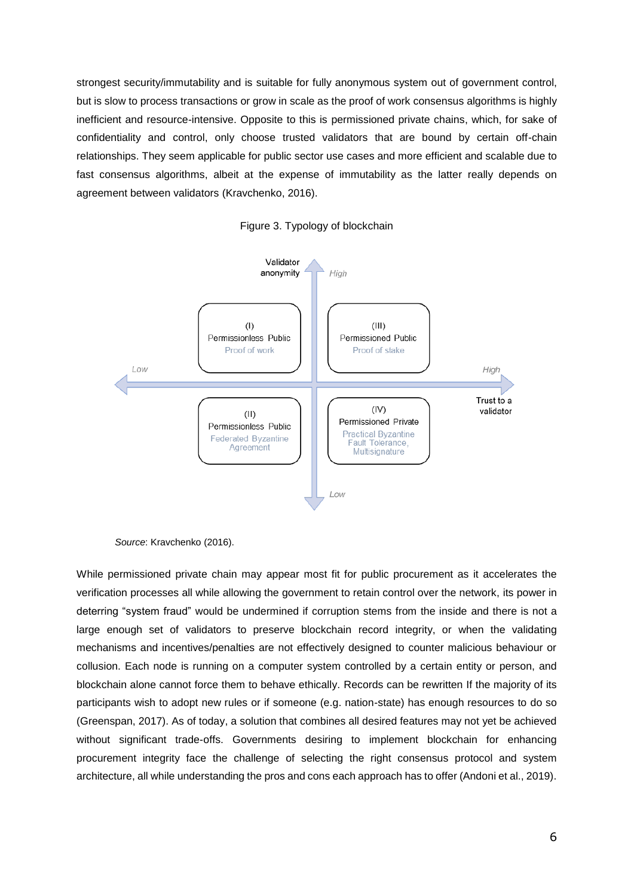strongest security/immutability and is suitable for fully anonymous system out of government control, but is slow to process transactions or grow in scale as the proof of work consensus algorithms is highly inefficient and resource-intensive. Opposite to this is permissioned private chains, which, for sake of confidentiality and control, only choose trusted validators that are bound by certain off-chain relationships. They seem applicable for public sector use cases and more efficient and scalable due to fast consensus algorithms, albeit at the expense of immutability as the latter really depends on agreement between validators (Kravchenko, 2016).





While permissioned private chain may appear most fit for public procurement as it accelerates the verification processes all while allowing the government to retain control over the network, its power in deterring "system fraud" would be undermined if corruption stems from the inside and there is not a large enough set of validators to preserve blockchain record integrity, or when the validating mechanisms and incentives/penalties are not effectively designed to counter malicious behaviour or collusion. Each node is running on a computer system controlled by a certain entity or person, and blockchain alone cannot force them to behave ethically. Records can be rewritten If the majority of its participants wish to adopt new rules or if someone (e.g. nation-state) has enough resources to do so (Greenspan, 2017). As of today, a solution that combines all desired features may not yet be achieved without significant trade-offs. Governments desiring to implement blockchain for enhancing procurement integrity face the challenge of selecting the right consensus protocol and system architecture, all while understanding the pros and cons each approach has to offer (Andoni et al., 2019).

*Source*: Kravchenko (2016).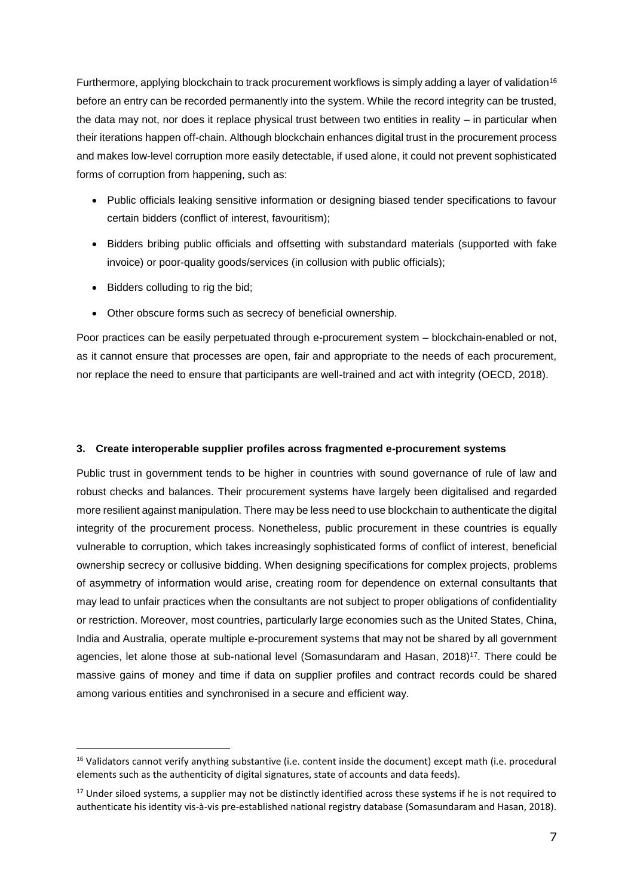Furthermore, applying blockchain to track procurement workflows is simply adding a layer of validation<sup>16</sup> before an entry can be recorded permanently into the system. While the record integrity can be trusted, the data may not, nor does it replace physical trust between two entities in reality – in particular when their iterations happen off-chain. Although blockchain enhances digital trust in the procurement process and makes low-level corruption more easily detectable, if used alone, it could not prevent sophisticated forms of corruption from happening, such as:

- Public officials leaking sensitive information or designing biased tender specifications to favour certain bidders (conflict of interest, favouritism);
- Bidders bribing public officials and offsetting with substandard materials (supported with fake invoice) or poor-quality goods/services (in collusion with public officials);
- Bidders colluding to rig the bid;

 $\overline{a}$ 

• Other obscure forms such as secrecy of beneficial ownership.

Poor practices can be easily perpetuated through e-procurement system – blockchain-enabled or not, as it cannot ensure that processes are open, fair and appropriate to the needs of each procurement, nor replace the need to ensure that participants are well-trained and act with integrity (OECD, 2018).

# **3. Create interoperable supplier profiles across fragmented e-procurement systems**

Public trust in government tends to be higher in countries with sound governance of rule of law and robust checks and balances. Their procurement systems have largely been digitalised and regarded more resilient against manipulation. There may be less need to use blockchain to authenticate the digital integrity of the procurement process. Nonetheless, public procurement in these countries is equally vulnerable to corruption, which takes increasingly sophisticated forms of conflict of interest, beneficial ownership secrecy or collusive bidding. When designing specifications for complex projects, problems of asymmetry of information would arise, creating room for dependence on external consultants that may lead to unfair practices when the consultants are not subject to proper obligations of confidentiality or restriction. Moreover, most countries, particularly large economies such as the United States, China, India and Australia, operate multiple e-procurement systems that may not be shared by all government agencies, let alone those at sub-national level (Somasundaram and Hasan, 2018) <sup>17</sup>. There could be massive gains of money and time if data on supplier profiles and contract records could be shared among various entities and synchronised in a secure and efficient way.

<sup>&</sup>lt;sup>16</sup> Validators cannot verify anything substantive (i.e. content inside the document) except math (i.e. procedural elements such as the authenticity of digital signatures, state of accounts and data feeds).

<sup>&</sup>lt;sup>17</sup> Under siloed systems, a supplier may not be distinctly identified across these systems if he is not required to authenticate his identity vis-à-vis pre-established national registry database (Somasundaram and Hasan, 2018).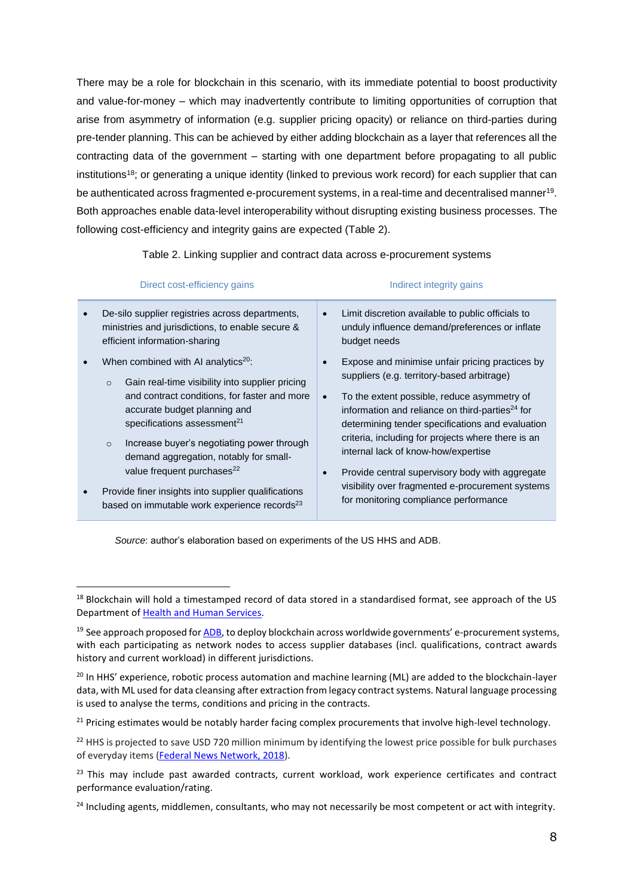There may be a role for blockchain in this scenario, with its immediate potential to boost productivity and value-for-money – which may inadvertently contribute to limiting opportunities of corruption that arise from asymmetry of information (e.g. supplier pricing opacity) or reliance on third-parties during pre-tender planning. This can be achieved by either adding blockchain as a layer that references all the contracting data of the government – starting with one department before propagating to all public institutions<sup>18</sup>; or generating a unique identity (linked to previous work record) for each supplier that can be authenticated across fragmented e-procurement systems, in a real-time and decentralised manner<sup>19</sup>. Both approaches enable data-level interoperability without disrupting existing business processes. The following cost-efficiency and integrity gains are expected (Table 2).

Table 2. Linking supplier and contract data across e-procurement systems

| Direct cost-efficiency gains |                                                                                                                                                                                                                                                                                                                                                                                       | Indirect integrity gains                                                                                                                                                                                                                                                                                                                                                                                                                                            |  |
|------------------------------|---------------------------------------------------------------------------------------------------------------------------------------------------------------------------------------------------------------------------------------------------------------------------------------------------------------------------------------------------------------------------------------|---------------------------------------------------------------------------------------------------------------------------------------------------------------------------------------------------------------------------------------------------------------------------------------------------------------------------------------------------------------------------------------------------------------------------------------------------------------------|--|
|                              | De-silo supplier registries across departments,<br>ministries and jurisdictions, to enable secure &<br>efficient information-sharing                                                                                                                                                                                                                                                  | Limit discretion available to public officials to<br>unduly influence demand/preferences or inflate<br>budget needs                                                                                                                                                                                                                                                                                                                                                 |  |
|                              | When combined with AI analytics <sup>20</sup> :<br>Gain real-time visibility into supplier pricing<br>$\circ$<br>and contract conditions, for faster and more<br>accurate budget planning and<br>specifications assessment <sup>21</sup><br>Increase buyer's negotiating power through<br>$\circ$<br>demand aggregation, notably for small-<br>value frequent purchases <sup>22</sup> | Expose and minimise unfair pricing practices by<br>suppliers (e.g. territory-based arbitrage)<br>To the extent possible, reduce asymmetry of<br>information and reliance on third-parties <sup>24</sup> for<br>determining tender specifications and evaluation<br>criteria, including for projects where there is an<br>internal lack of know-how/expertise<br>Provide central supervisory body with aggregate<br>visibility over fragmented e-procurement systems |  |
|                              | Provide finer insights into supplier qualifications<br>based on immutable work experience records <sup>23</sup>                                                                                                                                                                                                                                                                       | for monitoring compliance performance                                                                                                                                                                                                                                                                                                                                                                                                                               |  |

*Source*: author's elaboration based on experiments of the US HHS and ADB.

<sup>&</sup>lt;sup>18</sup> Blockchain will hold a timestamped record of data stored in a standardised format, see approach of the US Department o[f Health and Human Services.](https://blockchainhealthcaretoday.com/index.php/journal/article/view/69)

 $19$  See approach proposed fo[r ADB](https://www.adb.org/sites/default/files/project-documents/47192/47192-001-tacr-en_4.pdf), to deploy blockchain across worldwide governments' e-procurement systems, with each participating as network nodes to access supplier databases (incl. qualifications, contract awards history and current workload) in different jurisdictions.

<sup>&</sup>lt;sup>20</sup> In HHS' experience, robotic process automation and machine learning (ML) are added to the blockchain-layer data, with ML used for data cleansing after extraction from legacy contract systems. Natural language processing is used to analyse the terms, conditions and pricing in the contracts.

<sup>&</sup>lt;sup>21</sup> Pricing estimates would be notably harder facing complex procurements that involve high-level technology.

<sup>&</sup>lt;sup>22</sup> HHS is projected to save USD 720 million minimum by identifying the lowest price possible for bulk purchases of everyday items [\(Federal News Network, 2018\)](https://federalnewsnetwork.com/blockchain/2018/12/hhs-blockchain-ai-project-gets-go-ahead-to-use-live-agency-acquisition-data/).

<sup>&</sup>lt;sup>23</sup> This may include past awarded contracts, current workload, work experience certificates and contract performance evaluation/rating.

<sup>&</sup>lt;sup>24</sup> Including agents, middlemen, consultants, who may not necessarily be most competent or act with integrity.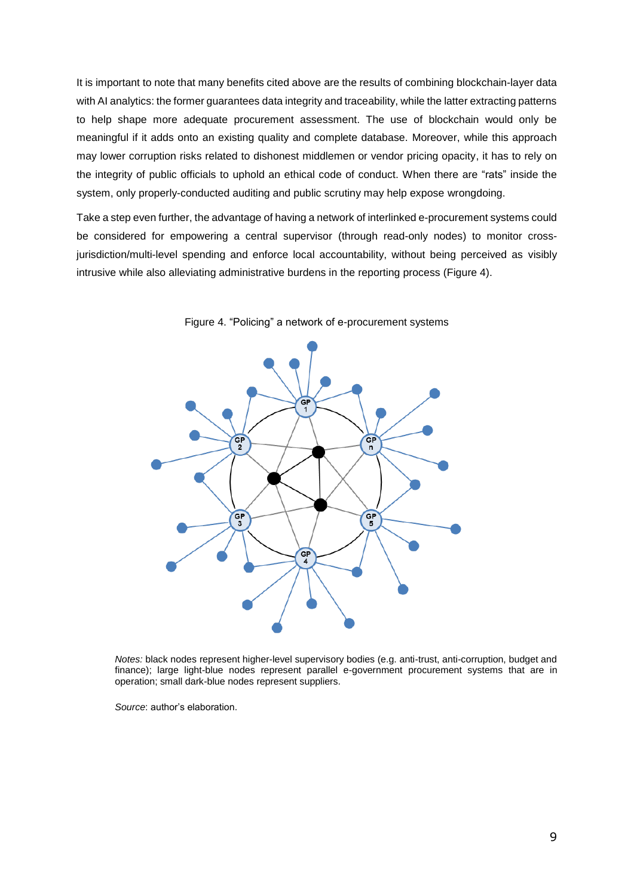It is important to note that many benefits cited above are the results of combining blockchain-layer data with AI analytics: the former guarantees data integrity and traceability, while the latter extracting patterns to help shape more adequate procurement assessment. The use of blockchain would only be meaningful if it adds onto an existing quality and complete database. Moreover, while this approach may lower corruption risks related to dishonest middlemen or vendor pricing opacity, it has to rely on the integrity of public officials to uphold an ethical code of conduct. When there are "rats" inside the system, only properly-conducted auditing and public scrutiny may help expose wrongdoing.

Take a step even further, the advantage of having a network of interlinked e-procurement systems could be considered for empowering a central supervisor (through read-only nodes) to monitor crossjurisdiction/multi-level spending and enforce local accountability, without being perceived as visibly intrusive while also alleviating administrative burdens in the reporting process (Figure 4).



Figure 4. "Policing" a network of e-procurement systems

*Notes:* black nodes represent higher-level supervisory bodies (e.g. anti-trust, anti-corruption, budget and finance); large light-blue nodes represent parallel e-government procurement systems that are in operation; small dark-blue nodes represent suppliers.

*Source*: author's elaboration.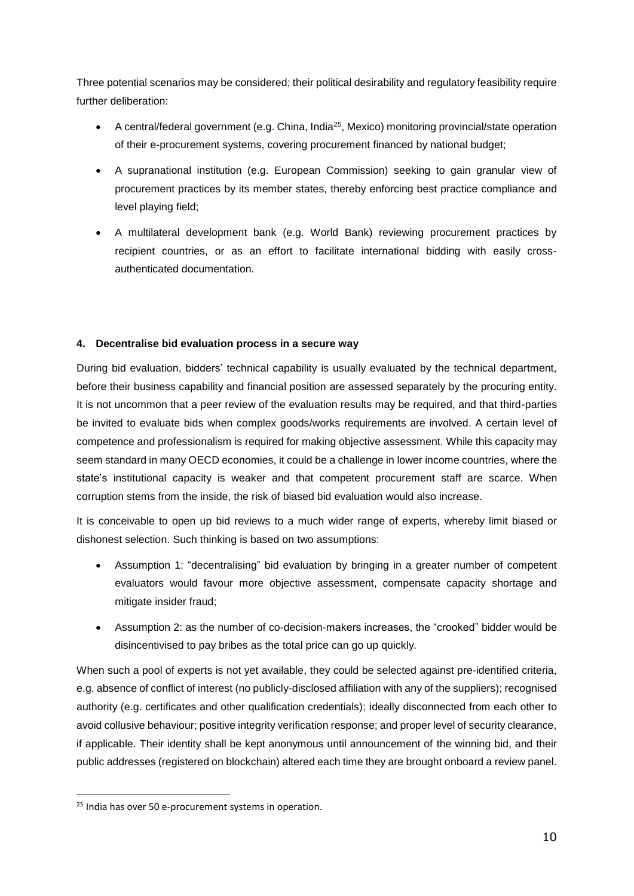Three potential scenarios may be considered; their political desirability and regulatory feasibility require further deliberation:

- A central/federal government (e.g. China, India<sup>25</sup>, Mexico) monitoring provincial/state operation of their e-procurement systems, covering procurement financed by national budget;
- A supranational institution (e.g. European Commission) seeking to gain granular view of procurement practices by its member states, thereby enforcing best practice compliance and level playing field;
- A multilateral development bank (e.g. World Bank) reviewing procurement practices by recipient countries, or as an effort to facilitate international bidding with easily crossauthenticated documentation.

# **4. Decentralise bid evaluation process in a secure way**

During bid evaluation, bidders' technical capability is usually evaluated by the technical department, before their business capability and financial position are assessed separately by the procuring entity. It is not uncommon that a peer review of the evaluation results may be required, and that third-parties be invited to evaluate bids when complex goods/works requirements are involved. A certain level of competence and professionalism is required for making objective assessment. While this capacity may seem standard in many OECD economies, it could be a challenge in lower income countries, where the state's institutional capacity is weaker and that competent procurement staff are scarce. When corruption stems from the inside, the risk of biased bid evaluation would also increase.

It is conceivable to open up bid reviews to a much wider range of experts, whereby limit biased or dishonest selection. Such thinking is based on two assumptions:

- Assumption 1: "decentralising" bid evaluation by bringing in a greater number of competent evaluators would favour more objective assessment, compensate capacity shortage and mitigate insider fraud;
- Assumption 2: as the number of co-decision-makers increases, the "crooked" bidder would be disincentivised to pay bribes as the total price can go up quickly.

When such a pool of experts is not yet available, they could be selected against pre-identified criteria, e.g. absence of conflict of interest (no publicly-disclosed affiliation with any of the suppliers); recognised authority (e.g. certificates and other qualification credentials); ideally disconnected from each other to avoid collusive behaviour; positive integrity verification response; and proper level of security clearance, if applicable. Their identity shall be kept anonymous until announcement of the winning bid, and their public addresses (registered on blockchain) altered each time they are brought onboard a review panel.

<sup>&</sup>lt;sup>25</sup> India has over 50 e-procurement systems in operation.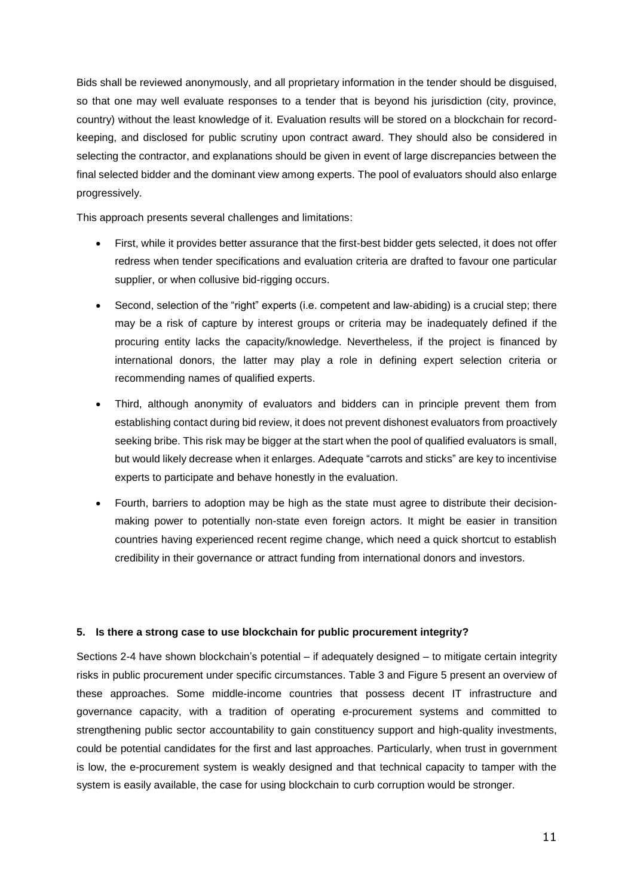Bids shall be reviewed anonymously, and all proprietary information in the tender should be disguised, so that one may well evaluate responses to a tender that is beyond his jurisdiction (city, province, country) without the least knowledge of it. Evaluation results will be stored on a blockchain for recordkeeping, and disclosed for public scrutiny upon contract award. They should also be considered in selecting the contractor, and explanations should be given in event of large discrepancies between the final selected bidder and the dominant view among experts. The pool of evaluators should also enlarge progressively.

This approach presents several challenges and limitations:

- First, while it provides better assurance that the first-best bidder gets selected, it does not offer redress when tender specifications and evaluation criteria are drafted to favour one particular supplier, or when collusive bid-rigging occurs.
- Second, selection of the "right" experts (i.e. competent and law-abiding) is a crucial step; there may be a risk of capture by interest groups or criteria may be inadequately defined if the procuring entity lacks the capacity/knowledge. Nevertheless, if the project is financed by international donors, the latter may play a role in defining expert selection criteria or recommending names of qualified experts.
- Third, although anonymity of evaluators and bidders can in principle prevent them from establishing contact during bid review, it does not prevent dishonest evaluators from proactively seeking bribe. This risk may be bigger at the start when the pool of qualified evaluators is small, but would likely decrease when it enlarges. Adequate "carrots and sticks" are key to incentivise experts to participate and behave honestly in the evaluation.
- Fourth, barriers to adoption may be high as the state must agree to distribute their decisionmaking power to potentially non-state even foreign actors. It might be easier in transition countries having experienced recent regime change, which need a quick shortcut to establish credibility in their governance or attract funding from international donors and investors.

### **5. Is there a strong case to use blockchain for public procurement integrity?**

Sections 2-4 have shown blockchain's potential – if adequately designed – to mitigate certain integrity risks in public procurement under specific circumstances. Table 3 and Figure 5 present an overview of these approaches. Some middle-income countries that possess decent IT infrastructure and governance capacity, with a tradition of operating e-procurement systems and committed to strengthening public sector accountability to gain constituency support and high-quality investments, could be potential candidates for the first and last approaches. Particularly, when trust in government is low, the e-procurement system is weakly designed and that technical capacity to tamper with the system is easily available, the case for using blockchain to curb corruption would be stronger.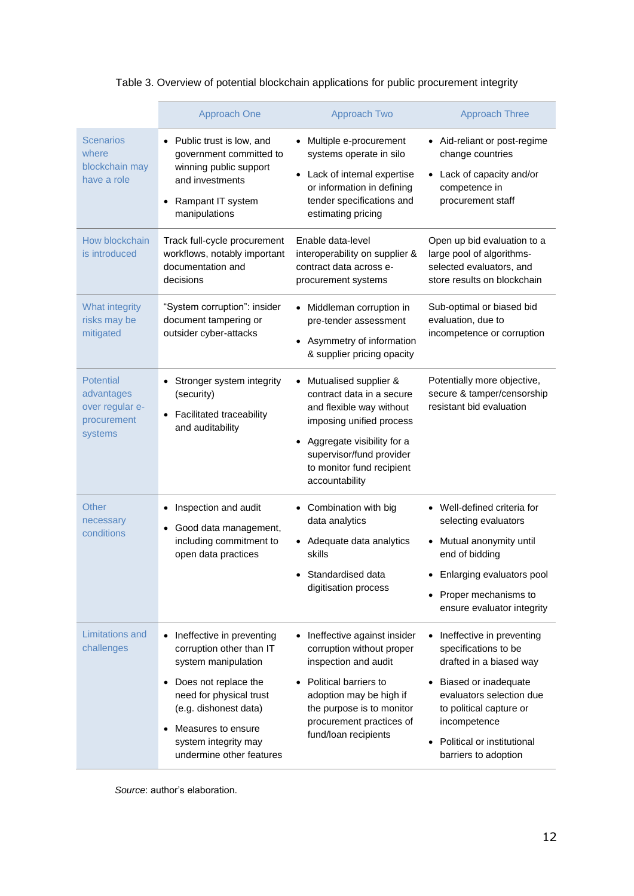# Table 3. Overview of potential blockchain applications for public procurement integrity

|                                                                             | Approach One                                                                                                                                                                                                                                    | Approach Two                                                                                                                                                                                                                                  | <b>Approach Three</b>                                                                                                                                                                                                             |
|-----------------------------------------------------------------------------|-------------------------------------------------------------------------------------------------------------------------------------------------------------------------------------------------------------------------------------------------|-----------------------------------------------------------------------------------------------------------------------------------------------------------------------------------------------------------------------------------------------|-----------------------------------------------------------------------------------------------------------------------------------------------------------------------------------------------------------------------------------|
| <b>Scenarios</b><br>where<br>blockchain may<br>have a role                  | • Public trust is low, and<br>government committed to<br>winning public support<br>and investments<br>Rampant IT system<br>manipulations                                                                                                        | Multiple e-procurement<br>$\bullet$<br>systems operate in silo<br>Lack of internal expertise<br>$\bullet$<br>or information in defining<br>tender specifications and<br>estimating pricing                                                    | • Aid-reliant or post-regime<br>change countries<br>Lack of capacity and/or<br>competence in<br>procurement staff                                                                                                                 |
| How blockchain<br>is introduced                                             | Track full-cycle procurement<br>workflows, notably important<br>documentation and<br>decisions                                                                                                                                                  | Enable data-level<br>interoperability on supplier &<br>contract data across e-<br>procurement systems                                                                                                                                         | Open up bid evaluation to a<br>large pool of algorithms-<br>selected evaluators, and<br>store results on blockchain                                                                                                               |
| What integrity<br>risks may be<br>mitigated                                 | "System corruption": insider<br>document tampering or<br>outsider cyber-attacks                                                                                                                                                                 | Middleman corruption in<br>$\bullet$<br>pre-tender assessment<br>Asymmetry of information<br>$\bullet$<br>& supplier pricing opacity                                                                                                          | Sub-optimal or biased bid<br>evaluation, due to<br>incompetence or corruption                                                                                                                                                     |
| <b>Potential</b><br>advantages<br>over regular e-<br>procurement<br>systems | Stronger system integrity<br>$\bullet$<br>(security)<br><b>Facilitated traceability</b><br>and auditability                                                                                                                                     | Mutualised supplier &<br>$\bullet$<br>contract data in a secure<br>and flexible way without<br>imposing unified process<br>Aggregate visibility for a<br>$\bullet$<br>supervisor/fund provider<br>to monitor fund recipient<br>accountability | Potentially more objective,<br>secure & tamper/censorship<br>resistant bid evaluation                                                                                                                                             |
| Other<br>necessary<br>conditions                                            | Inspection and audit<br>Good data management,<br>$\bullet$<br>including commitment to<br>open data practices                                                                                                                                    | Combination with big<br>data analytics<br>• Adequate data analytics<br>skills<br>Standardised data<br>$\bullet$<br>digitisation process                                                                                                       | • Well-defined criteria for<br>selecting evaluators<br>Mutual anonymity until<br>end of bidding<br>Enlarging evaluators pool<br>Proper mechanisms to<br>ensure evaluator integrity                                                |
| Limitations and<br>challenges                                               | Ineffective in preventing<br>$\bullet$<br>corruption other than IT<br>system manipulation<br>Does not replace the<br>need for physical trust<br>(e.g. dishonest data)<br>Measures to ensure<br>system integrity may<br>undermine other features | Ineffective against insider<br>corruption without proper<br>inspection and audit<br>Political barriers to<br>adoption may be high if<br>the purpose is to monitor<br>procurement practices of<br>fund/loan recipients                         | Ineffective in preventing<br>specifications to be<br>drafted in a biased way<br>Biased or inadequate<br>evaluators selection due<br>to political capture or<br>incompetence<br>Political or institutional<br>barriers to adoption |

*Source*: author's elaboration.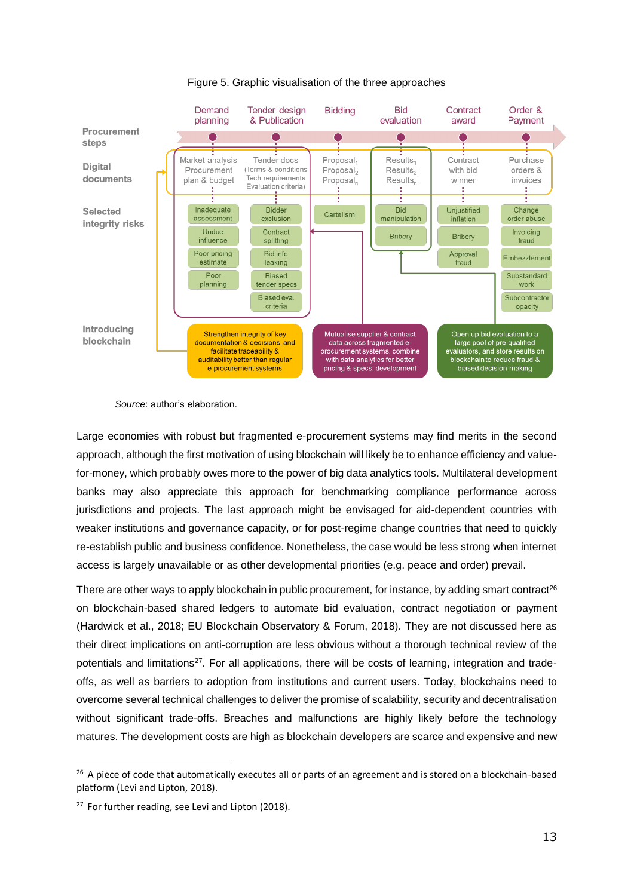

Figure 5. Graphic visualisation of the three approaches

*Source*: author's elaboration.

Large economies with robust but fragmented e-procurement systems may find merits in the second approach, although the first motivation of using blockchain will likely be to enhance efficiency and valuefor-money, which probably owes more to the power of big data analytics tools. Multilateral development banks may also appreciate this approach for benchmarking compliance performance across jurisdictions and projects. The last approach might be envisaged for aid-dependent countries with weaker institutions and governance capacity, or for post-regime change countries that need to quickly re-establish public and business confidence. Nonetheless, the case would be less strong when internet access is largely unavailable or as other developmental priorities (e.g. peace and order) prevail.

There are other ways to apply blockchain in public procurement, for instance, by adding smart contract<sup>26</sup> on blockchain-based shared ledgers to automate bid evaluation, contract negotiation or payment (Hardwick et al., 2018; EU Blockchain Observatory & Forum, 2018). They are not discussed here as their direct implications on anti-corruption are less obvious without a thorough technical review of the potentials and limitations<sup>27</sup>. For all applications, there will be costs of learning, integration and tradeoffs, as well as barriers to adoption from institutions and current users. Today, blockchains need to overcome several technical challenges to deliver the promise of scalability, security and decentralisation without significant trade-offs. Breaches and malfunctions are highly likely before the technology matures. The development costs are high as blockchain developers are scarce and expensive and new

<sup>&</sup>lt;sup>26</sup> A piece of code that automatically executes all or parts of an agreement and is stored on a blockchain-based platform (Levi and Lipton, 2018).

<sup>&</sup>lt;sup>27</sup> For further reading, see Levi and Lipton (2018).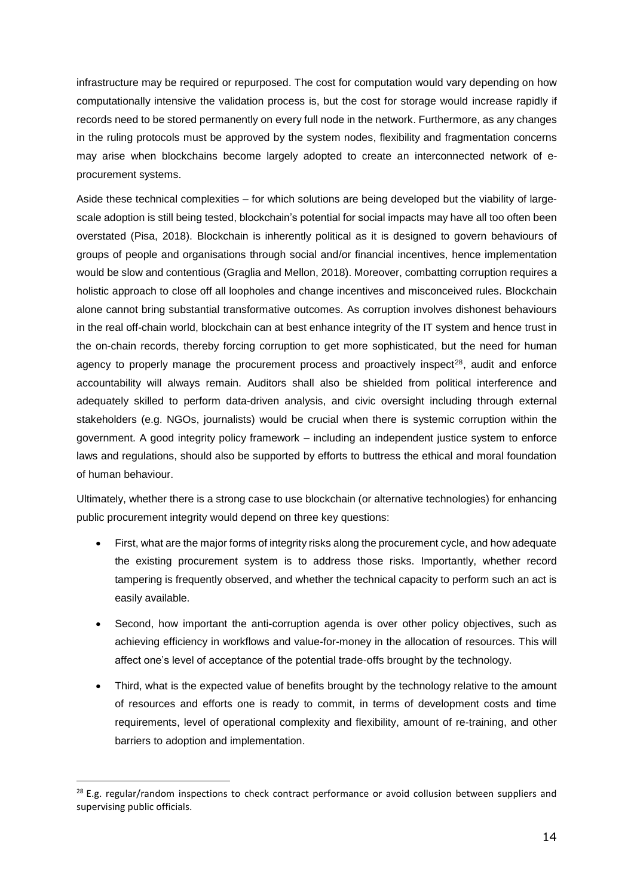infrastructure may be required or repurposed. The cost for computation would vary depending on how computationally intensive the validation process is, but the cost for storage would increase rapidly if records need to be stored permanently on every full node in the network. Furthermore, as any changes in the ruling protocols must be approved by the system nodes, flexibility and fragmentation concerns may arise when blockchains become largely adopted to create an interconnected network of eprocurement systems.

Aside these technical complexities – for which solutions are being developed but the viability of largescale adoption is still being tested, blockchain's potential for social impacts may have all too often been overstated (Pisa, 2018). Blockchain is inherently political as it is designed to govern behaviours of groups of people and organisations through social and/or financial incentives, hence implementation would be slow and contentious (Graglia and Mellon, 2018). Moreover, combatting corruption requires a holistic approach to close off all loopholes and change incentives and misconceived rules. Blockchain alone cannot bring substantial transformative outcomes. As corruption involves dishonest behaviours in the real off-chain world, blockchain can at best enhance integrity of the IT system and hence trust in the on-chain records, thereby forcing corruption to get more sophisticated, but the need for human agency to properly manage the procurement process and proactively inspect<sup>28</sup>, audit and enforce accountability will always remain. Auditors shall also be shielded from political interference and adequately skilled to perform data-driven analysis, and civic oversight including through external stakeholders (e.g. NGOs, journalists) would be crucial when there is systemic corruption within the government. A good integrity policy framework – including an independent justice system to enforce laws and regulations, should also be supported by efforts to buttress the ethical and moral foundation of human behaviour.

Ultimately, whether there is a strong case to use blockchain (or alternative technologies) for enhancing public procurement integrity would depend on three key questions:

- First, what are the major forms of integrity risks along the procurement cycle, and how adequate the existing procurement system is to address those risks. Importantly, whether record tampering is frequently observed, and whether the technical capacity to perform such an act is easily available.
- Second, how important the anti-corruption agenda is over other policy objectives, such as achieving efficiency in workflows and value-for-money in the allocation of resources. This will affect one's level of acceptance of the potential trade-offs brought by the technology.
- Third, what is the expected value of benefits brought by the technology relative to the amount of resources and efforts one is ready to commit, in terms of development costs and time requirements, level of operational complexity and flexibility, amount of re-training, and other barriers to adoption and implementation.

 $\overline{a}$ 

 $28$  E.g. regular/random inspections to check contract performance or avoid collusion between suppliers and supervising public officials.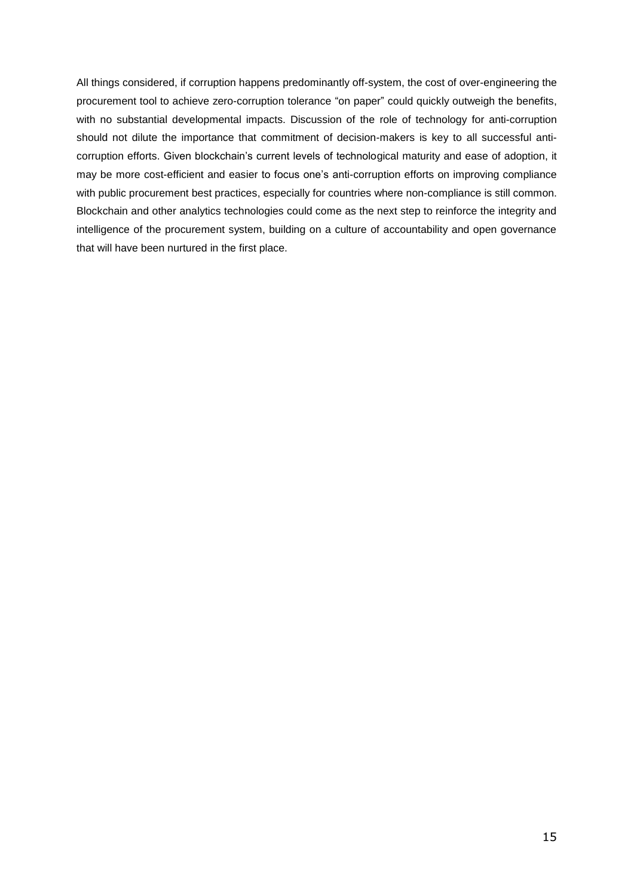All things considered, if corruption happens predominantly off-system, the cost of over-engineering the procurement tool to achieve zero-corruption tolerance "on paper" could quickly outweigh the benefits, with no substantial developmental impacts. Discussion of the role of technology for anti-corruption should not dilute the importance that commitment of decision-makers is key to all successful anticorruption efforts. Given blockchain's current levels of technological maturity and ease of adoption, it may be more cost-efficient and easier to focus one's anti-corruption efforts on improving compliance with public procurement best practices, especially for countries where non-compliance is still common. Blockchain and other analytics technologies could come as the next step to reinforce the integrity and intelligence of the procurement system, building on a culture of accountability and open governance that will have been nurtured in the first place.